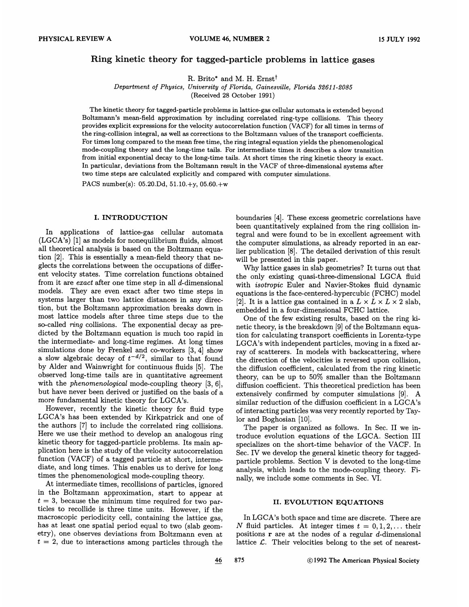# Ring kinetic theory for tagged-particle problems in lattice gases

R. Brito\* and M. H. Ernst<sup>†</sup>

Department of Physics, University of Florida, Gainesville, Florida 32611-2085 (Received 28 October 1991)

The kinetic theory for tagged-particle problems in lattice-gas cellular automata is extended beyond Boltzmann's mean-field approximation by including correlated ring-type collisions. This theory provides explicit expressions for the velocity autocorrelation function (VACF) for all times in terms of the ring-collision integral, as well as corrections to the Boltzmann values of the transport coefficients. For times long compared to the mean free time, the ring integral equation yields the phenomenological mode-coupling theory and the long-time tails. For intermediate times it describes a slow transition from initial exponential decay to the long-time tails. At short times the ring kinetic theory is exact. In particular, deviations from the Boltzmann result in the VACF of three-dimensional systems after two time steps are calculated explicitly and compared with computer simulations.

PACS number(s): 05.20.Dd, 51.10.+y, 05.60.+w

# I. INTRODUCTION

In applications of lattice-gas cellular automata (LGCA's) [1] as models for nonequilibrium fluids, almost all theoretical analysis is based on the Boltzmann equation [2]. This is essentially a mean-field theory that neglects the correlations between the occupations of different velocity states. Time correlation functions obtained from it are exact after one time step in all d-dimensional models. They are even exact after two time steps in systems larger than two lattice distances in any direction, but the Boltzmann approximation breaks down in most lattice models after three time steps due to the so-called ring collisions. The exponential decay as predicted by the Boltzmann equation is much too rapid in the intermediate- and long-time regimes. At long times simulations done by Frenkel and co-workers [3, 4] show a slow algebraic decay of  $t^{-d/2}$ , similar to that found by Alder and Wainwright for continuous fluids [5]. The observed long-time tails are in quantitative agreement with the *phenomenological* mode-coupling theory [3, 6], but have never been derived or justified on the basis of a more fundamental kinetic theory for LGCA's.

However, recently the kinetic theory for fluid type LGCA's has been extended by Kirkpatrick and one of the authors [7] to include the correlated ring collisions. Here we use their method to develop an analogous ring kinetic theory for tagged-particle problems. Its main application here is the study of the velocity autocorrelation function (VACF) of a tagged particle at short, intermediate, and long times. This enables us to derive for long times the phenomenological mode-coupling theory.

At intermediate times, recollisions of particles, ignored in the Boltzmann approximation, start to appear at  $t = 3$ , because the minimum time required for two particles to recollide is three time units. However, if the macroscopic periodicity cell, containing the lattice gas, has at least one spatial period equal to two (slab geometry), one observes deviations from Boltzmann even at  $t = 2$ , due to interactions among particles through the boundaries [4]. These excess geometric correlations have been quantitatively explained from the ring collision integral and were found to be in excellent agreement with the computer simulations, as already reported in an earlier publication [8]. The detailed derivation of this result will be presented in this paper.

Why lattice gases in slab geometries'? It turns out that the only existing quasi-three-dimensional LGCA fluid with isotropic Euler and Navier-Stokes fluid dynamic equations is the face-centered-hypercubic (FCHC) model [2]. It is a lattice gas contained in a  $L \times L \times L \times 2$  slab, embedded in a four-dimensional FCHC lattice.

One of the few existing results, based on the ring kinetic theory, is the breakdown [9] of the Boltzmann equation for calculating transport coefficients in Lorentz-type LGCA's with independent particles, moving in a fixed array of scatterers. In models with backscattering, where the direction of the velocities is reversed upon collision, the difFusion coefficient, calculated from the ring kinetic theory, can be up to  $50\%$  smaller than the Boltzmann difFusion coefficient. This theoretical prediction has been extensively confirmed by computer simulations [9]. A similar reduction of the diffusion coefficient in a LGCA's of interacting particles was very recently reported by Taylor and Boghosian [10].

The paper is organized as follows. In Sec. II we introduce evolution equations of the LGCA. Section III specializes on the short-time behavior of the VACF. In Sec. IV we develop the general kinetic theory for taggedparticle problems. Section V is devoted to the long-time analysis, which leads to the mode-coupling theory. Finally, we include some comments in Sec. VI.

## II. EVOLUTION EQUATIONS

In LGCA's both space and time are discrete. There are N fluid particles. At integer times  $t = 0, 1, 2, \ldots$  their positions  $r$  are at the nodes of a regular d-dimensional lattice  $\mathcal{L}$ . Their velocities belong to the set of nearest-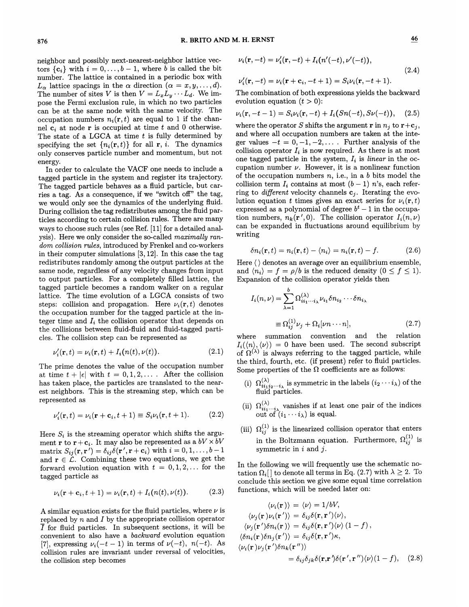neighbor and possibly next-nearest-neighbor lattice vectors  $\{c_i\}$  with  $i = 0, \ldots, b - 1$ , where b is called the bit number. The lattice is contained in a periodic box with minimum in the active is contained in a periodic box when<br> $L_{\alpha}$  lattice spacings in the  $\alpha$  direction  $(\alpha = x, y, \dots, d)$ . The number of sites V is then  $V = L_x L_y \cdots L_d$ . We impose the Fermi exclusion rule, in which no two particles can be at the same node with the same velocity. The occupation numbers  $n_i(\mathbf{r}, t)$  are equal to 1 if the channel  $c_i$  at node r is occupied at time t and 0 otherwise. The state of a LGCA at time  $t$  is fully determined by specifying the set  $\{n_i(\mathbf{r}, t)\}\$ for all **r**, *i*. The dynamics only conserves particle number and momentum, but not energy.

In order to calculate the VACF one needs to include a tagged particle in the system and register its trajectory. The tagged particle behaves as a fluid particle, but carries a tag. As a consequence, if we "switch off" the tag, we would only see the dynamics of the underlying fluid. During collision the tag redistributes among the fluid particles according to certain collision rules. There are many ways to choose such rules (see Ref. [11] for a detailed analysis). Here we only consider the so-called *maximally ran*dom collision rules, introduced by Frenkel and co-workers in their computer simulations [3, 12]. In this case the tag redistributes randomly among the output particles at the same node, regardless of any velocity changes from input to output particles. For a completely filled lattice, the tagged particle becomes a random walker on a regular lattice. The time evolution of a LGCA consists of two steps: collision and propagation. Here  $\nu_i(\mathbf{r},t)$  denotes the occupation number for the tagged particle at the integer time and  $I_i$  the collision operator that depends on the collisions between fluid-fluid and fluid-tagged particles. The collision step can be represented as

$$
\nu_i'(\mathbf{r},t) = \nu_i(\mathbf{r},t) + I_i(n(t),\nu(t)).
$$
\n(2.1)

The prime denotes the value of the occupation number at time  $t+ |\epsilon|$  with  $t = 0, 1, 2, \ldots$ . After the collision has taken place, the particles are translated to the nearest neighbors. This is the streaming step, which can be represented as

$$
\nu_i'(\mathbf{r},t) = \nu_i(\mathbf{r} + \mathbf{c}_i, t + 1) \equiv S_i \nu_i(\mathbf{r},t + 1). \tag{2.2}
$$

Here  $S_i$  is the streaming operator which shifts the argument **r** to **r** + **c**<sub>*i*</sub>. It may also be represented as a  $bV \times bV$ matrix  $S_{ij}(\mathbf{r}, \mathbf{r}') = \delta_{ij}\delta(\mathbf{r}', \mathbf{r} + \mathbf{c}_i)$  with  $i = 0, 1, ..., b - 1$ and  $\mathbf{r} \in \mathcal{L}$ . Combining these two equations, we get the forward evolution equation with  $t = 0, 1, 2, \ldots$  for the tagged particle as

$$
\nu_i(\mathbf{r}+\mathbf{c}_i,t+1)=\nu_i(\mathbf{r},t)+I_i(n(t),\nu(t)).\qquad(2.3)
$$

A similar equation exists for the fluid particles, where  $\nu$  is replaced by  $n$  and  $I$  by the appropriate collision operator  $\overline{I}$  for fluid particles. In subsequent sections, it will be convenient to also have a backward evolution equation [7], expressing  $\nu_i(-t-1)$  in terms of  $\nu(-t)$ ,  $n(-t)$ . As collision rules are invariant under reversal of velocities, the collision step becomes

$$
\nu_i(\mathbf{r}, -t) = \nu'_i(\mathbf{r}, -t) + I_i(n'(-t), \nu'(-t)),
$$
  
\n
$$
\nu'_i(\mathbf{r}, -t) = \nu_i(\mathbf{r} + \mathbf{c}_i, -t + 1) = S_i \nu_i(\mathbf{r}, -t + 1).
$$
\n(2.4)

The combination of both expressions yields the backward<br>evolution equation  $(t > 0)$ :

$$
\nu_i(\mathbf{r}, -t-1) = S_i \nu_i(\mathbf{r}, -t) + I_i(Sn(-t), S\nu(-t)), \quad (2.5)
$$

where the operator S shifts the argument r in  $n_i$  to  $\mathbf{r}+\mathbf{c}_i$ , and where all occupation numbers are taken at the integer values  $-t = 0, -1, -2, \ldots$ . Further analysis of the collision operator  $I_i$  is now required. As there is at most one tagged particle in the system,  $I_i$  is *linear* in the occupation number  $\nu$ . However, it is a nonlinear function of the occupation numbers  $n$ , i.e., in a  $b$  bits model the collision term  $I_i$  contains at most  $(b-1)$  n's, each referring to *different* velocity channels  $c_i$ . Iterating the evolution equation t times gives an exact series for  $\nu_i(\mathbf{r}, t)$ expressed as a polynomial of degree  $b<sup>t</sup> - 1$  in the occupation numbers,  $n_k(\mathbf{r}',0)$ . The collision operator  $I_i(n,\nu)$ can be expanded in fluctuations around equilibrium by writing

$$
\delta n_i(\mathbf{r},t) = n_i(\mathbf{r},t) - \langle n_i \rangle = n_i(\mathbf{r},t) - f. \tag{2.6}
$$

Here  $\langle \rangle$  denotes an average over an equilibrium ensemble,<br>and  $\langle n_i \rangle = f = \rho/b$  is the reduced density  $(0 \le f \le 1)$ . Expansion of the collision operator yields then

$$
I_i(n,\nu) = \sum_{\lambda=1}^b \Omega_{ii_1\cdots i_\lambda}^{(\lambda)} \nu_{i_1} \delta n_{i_2} \cdots \delta n_{i_\lambda}
$$

$$
\equiv \Omega_{ij}^{(1)} \nu_j + \Omega_i[\nu n \cdots n], \qquad (2.7)
$$

where summation convention and the relation  $I_i(\langle n\rangle,\langle\nu\rangle)=0$  have been used. The second subscript of  $\Omega^{(\lambda)}$  is always referring to the tagged particle, while the third, fourth, etc. (if present) refer to fluid particles. Some properties of the  $\Omega$  coefficients are as follows:

- (i)  $\Omega_{ii_1i_2\cdots i_{\lambda}}^{(\lambda)}$  is symmetric in the labels  $(i_2 \cdots i_{\lambda})$  of the fluid particles.
- (ii)  $\Omega_{ii_1 \cdots i_\lambda}^{(\lambda)}$  vanishes if at least one pair of the indice out of  $(i_1 \cdots i_\lambda)$  is equal.
- (iii)  $\Omega_{ij}^{(1)}$  is the linearized collision operator that enter in the Boltzmann equation. Furthermore,  $\Omega_{ii}^{(1)}$  is symmetric in  $i$  and  $j$ .

In the following we will frequently use the schematic notation  $\Omega_i$  to denote all terms in Eq. (2.7) with  $\lambda \geq 2$ . To conclude this section we give some equal time correlation functions, which will be needed later on:

$$
\langle \nu_i(\mathbf{r}) \rangle = \langle \nu \rangle = 1/bV,
$$
  
\n
$$
\langle \nu_j(\mathbf{r}) \nu_i(\mathbf{r}') \rangle = \delta_{ij}\delta(\mathbf{r}, \mathbf{r}') \langle \nu \rangle,
$$
  
\n
$$
\langle \nu_j(\mathbf{r}') \delta n_i(\mathbf{r}) \rangle = \delta_{ij}\delta(\mathbf{r}, \mathbf{r}') \langle \nu \rangle (1 - f),
$$
  
\n
$$
\langle \delta n_i(\mathbf{r}) \delta n_j(\mathbf{r}') \rangle = \delta_{ij}\delta(\mathbf{r}, \mathbf{r}')\kappa,
$$
  
\n
$$
\langle \nu_i(\mathbf{r}) \nu_j(\mathbf{r}') \delta n_k(\mathbf{r}'') \rangle
$$
  
\n
$$
= \delta_{ij}\delta_{jk}\delta(\mathbf{r}, \mathbf{r}')\delta(\mathbf{r}', \mathbf{r}'') \langle \nu \rangle (1 - f), \quad (2.8)
$$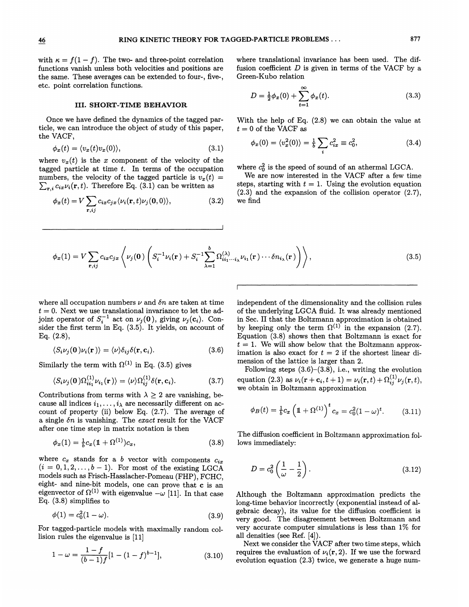with  $\kappa = f(1 - f)$ . The two- and three-point correlation functions vanish unless both velocities and positions are the same. These averages can be extended to four-, five-, etc. point correlation functions.

### III. SHORT- TIME BEHAVIOR

Once we have defined the dynamics of the tagged particle, we can introduce the object of study of this paper, the VACF,

$$
\phi_x(t) = \langle v_x(t)v_x(0) \rangle, \tag{3.1}
$$

where  $v_x(t)$  is the x component of the velocity of the tagged particle at time  $t$ . In terms of the occupation numbers, the velocity of the tagged particle is  $v_x(t) =$  $\sum_{\mathbf{r}, i} c_{ix} \nu_i(\mathbf{r}, t)$ . Therefore Eq. (3.1) can be written as

$$
\phi_x(t) = V \sum_{\mathbf{r},ij} c_{ix} c_{jx} \langle \nu_i(\mathbf{r},t) \nu_j(\mathbf{0},0) \rangle, \tag{3.2}
$$

where translational invariance has been used. The diffusion coefficient  $D$  is given in terms of the VACF by a Green-Kubo relation

$$
D = \frac{1}{2}\phi_x(0) + \sum_{t=1}^{\infty} \phi_x(t).
$$
 (3.3)

With the help of Eq. (2.8) we can obtain the value at  $t = 0$  of the VACF as

$$
\phi_x(0) = \langle v_x^2(0) \rangle = \frac{1}{b} \sum_i c_{ix}^2 \equiv c_0^2, \tag{3.4}
$$

where  $c_0^2$  is the speed of sound of an athermal LGCA.

We are now interested in the VACF after a few time steps, starting with  $t = 1$ . Using the evolution equation (2.3) and the expansion of the collision operator (2.7), we find

$$
\phi_x(1) = V \sum_{\mathbf{r},ij} c_{ix} c_{jx} \left\langle \nu_j(\mathbf{0}) \left( S_i^{-1} \nu_i(\mathbf{r}) + S_i^{-1} \sum_{\lambda=1}^b \Omega_{ii_1 \cdots i_\lambda}^{(\lambda)} \nu_{i_1}(\mathbf{r}) \cdots \delta n_{i_\lambda}(\mathbf{r}) \right) \right\rangle, \tag{3.5}
$$

where all occupation numbers  $\nu$  and  $\delta n$  are taken at time  $t = 0$ . Next we use translational invariance to let the adjoint operator of  $S_i^{-1}$  act on  $\nu_j(0)$ , giving  $\nu_j(c_i)$ . Consider the first term in Eq. (3.5). It yields, on account of Eq. (2.8),

$$
\langle S_i \nu_j(\mathbf{0}) \nu_i(\mathbf{r}) \rangle = \langle \nu \rangle \delta_{ij} \delta(\mathbf{r}, \mathbf{c}_i). \tag{3.6}
$$

Similarly the term with  $\Omega^{(1)}$  in Eq. (3.5) gives

$$
\langle S_i \nu_j(\mathbf{0}) \Omega_{ii_1}^{(1)} \nu_{i_1}(\mathbf{r}) \rangle = \langle \nu \rangle \Omega_{ij}^{(1)} \delta(\mathbf{r}, \mathbf{c}_i). \tag{3.7}
$$

Contributions from terms with  $\lambda \geq 2$  are vanishing, because all indices  $i_1, \ldots, i_\lambda$  are necessarily different on account of property (ii) below Eq. (2.7). The average of a single  $\delta n$  is vanishing. The exact result for the VACF after one time step in matrix notation is then

$$
\phi_x(1) = \frac{1}{b}c_x(1 + \Omega^{(1)})c_x,\tag{3.8}
$$

where  $c_x$  stands for a b vector with components  $c_{ix}$  $(i = 0, 1, 2, \ldots, b - 1)$ . For most of the existing LGCA models such as Frisch-Hasslacher-Pomeau (FHP), FCHC, eight- and nine-bit models, one can prove that c is an eigenvector of  $\Omega^{(1)}$  with eigenvalue  $-\omega$  [11]. In that case Eq. (3.8) simplifies to

$$
\phi(1) = c_0^2 (1 - \omega). \tag{3.9}
$$

For tagged-particle models with maximally random collision rules the eigenvalue is [11]

$$
1 - \omega = \frac{1 - f}{(b - 1)f} [1 - (1 - f)^{b - 1}], \tag{3.10}
$$

independent of the dimensionality and the collision rules of the underlying LGCA fluid. It was already mentioned in Sec. II that the Boltzmann approximation is obtained by keeping only the term  $\Omega^{(1)}$  in the expansion (2.7). Equation (3.8) shows then that Boltzmann is exact for  $t = 1$ . We will show below that the Boltzmann approximation is also exact for  $t = 2$  if the shortest linear dimension of the lattice is larger than 2.

Following steps  $(3.6)$ – $(3.8)$ , i.e., writing the evolution  ${\rm equation}\,\, (2.3)\,\, {\rm as}\,\, \nu_i({\bf r}+{\bf c}_i,t+1)=\nu_i({\bf r},t)+\Omega_{ij}^{(1)}\nu_j({\bf r},t),$ we obtain in Boltzmann approximation

$$
\phi_B(t) = \frac{1}{b} c_x \left( 1 + \Omega^{(1)} \right)^t c_x = c_0^2 (1 - \omega)^t. \tag{3.11}
$$

The diffusion coefficient in Boltzmann approximation follows immediately:

$$
D = c_0^2 \left(\frac{1}{\omega} - \frac{1}{2}\right). \tag{3.12}
$$

Although the Boltzmann approximation predicts the long-time behavior incorrectly (exponential instead of algebraic decay), its value for the diffusion coefficient is very good. The disagreement between Boltzmann and very accurate computer simulations is less than 1% for all densities (see Ref. [4]).

Next we consider the VACF after two time steps, which requires the evaluation of  $\nu_i(\mathbf{r}, 2)$ . If we use the forward evolution equation (2.3) twice, we generate a huge num-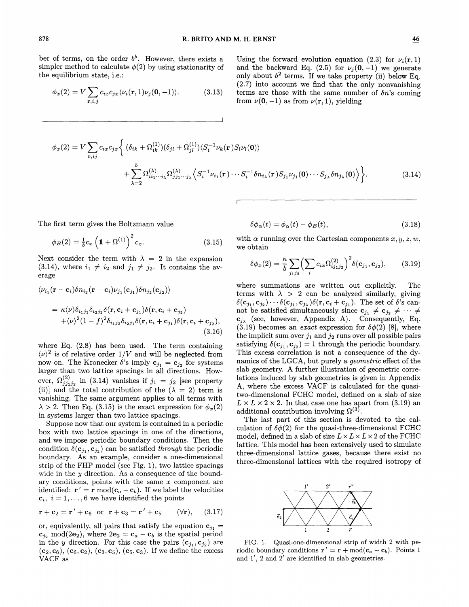ber of terms, on the order  $b^b$ . However, there exists a simpler method to calculate  $\phi(2)$  by using stationarity of the equilibrium state, i.e.:

$$
\phi_x(2) = V \sum_{\mathbf{r}, i, j} c_{ix} c_{jx} \langle \nu_i(\mathbf{r}, 1) \nu_j(\mathbf{0}, -1) \rangle.
$$
 (3.13)

Using the forward evolution equation (2.3) for  $\nu_i(\mathbf{r},1)$ and the backward Eq. (2.5) for  $\nu_i(0, -1)$  we generate only about  $b^2$  terms. If we take property (ii) below Eq. (2.7) into account we find that the only nonvanishing terms are those with the same number of  $\delta n$ 's coming from  $\nu(0, -1)$  as from  $\nu(r, 1)$ , yielding

$$
\phi_x(2) = V \sum_{\mathbf{r},ij} c_{ix} c_{jx} \left\{ (\delta_{ik} + \Omega_{ik}^{(1)}) (\delta_{jl} + \Omega_{jl}^{(1)}) \langle S_i^{-1} \nu_k(\mathbf{r}) S_l \nu_l(\mathbf{0}) \rangle \right.\left. + \sum_{\lambda=2}^b \Omega_{ii_1 \cdots i_\lambda}^{(\lambda)} \Omega_{jj_1 \cdots j_\lambda}^{(\lambda)} \langle S_i^{-1} \nu_{i_1}(\mathbf{r}) \cdots S_i^{-1} \delta n_{i_\lambda}(\mathbf{r}) S_{j_1} \nu_{j_1}(\mathbf{0}) \cdots S_{j_\lambda} \delta n_{j_\lambda}(\mathbf{0}) \rangle \right\}.
$$
\n(3.14)

The first term gives the Boltzmann value

$$
\phi_B(2) = \frac{1}{b}c_x \left(1 + \Omega^{(1)}\right)^2 c_x.
$$
\n(3.15)

Next consider the term with  $\lambda = 2$  in the expansion (3.14), where  $i_1 \neq i_2$  and  $j_1 \neq j_2$ . It contains the average

$$
\langle \nu_{i_1}(\mathbf{r}-\mathbf{c}_i)\delta n_{i_2}(\mathbf{r}-\mathbf{c}_i)\nu_{j_1}(\mathbf{c}_{j_1})\delta n_{j_2}(\mathbf{c}_{j_2}) \rangle
$$
  
=  $\kappa \langle \nu \rangle \delta_{i_1 j_1} \delta_{i_2 j_2} \delta(\mathbf{r}, \mathbf{c}_i + \mathbf{c}_{j_1}) \delta(\mathbf{r}, \mathbf{c}_i + \mathbf{c}_{j_2})$   
+ $\langle \nu \rangle^2 (1-f)^2 \delta_{i_1 j_2} \delta_{i_2 j_1} \delta(\mathbf{r}, \mathbf{c}_i + \mathbf{c}_{j_1}) \delta(\mathbf{r}, \mathbf{c}_i + \mathbf{c}_{j_2}),$   
(3.16)

where Eq. (2.8) has been used. The term containing  $\langle \nu \rangle^2$  is of relative order  $1/V$  and will be neglected from now on. The Kronecker  $\delta$ 's imply  $\mathbf{c}_{j_1} = \mathbf{c}_{j_2}$  for systems larger than two lattice spacings in all directions. However,  $\Omega_{j_1j_1j_2}^{(2)}$  in (3.14) vanishes if  $j_1 = j_2$  [see propert (ii)] and the total contribution of the  $(\lambda = 2)$  term is vanishing. The same argument applies to all terms with  $\lambda > 2$ . Then Eq. (3.15) is the exact expression for  $\phi_{r}(2)$ in systems larger than two lattice spacings.

Suppose now that our system is contained in a periodic box with two lattice spacings in one of the directions, and we impose periodic boundary conditions. Then the condition  $\delta(c_{j_1}, c_{j_2})$  can be satisfied through the periodic boundary. As an example, consider a one-dimensional strip of the FHP model (see Fig. 1), two lattice spacings wide in the  $y$  direction. As a consequence of the boundary conditions, points with the same  $x$  component are identified:  $\mathbf{r}' = \mathbf{r} \mod (\mathbf{c}_a - \mathbf{c}_b)$ . If we label the velocities  $c_i$ ,  $i = 1, ..., 6$  we have identified the point

$$
\mathbf{r} + \mathbf{c}_2 = \mathbf{r}' + \mathbf{c}_6 \text{ or } \mathbf{r} + \mathbf{c}_3 = \mathbf{r}' + \mathbf{c}_5 \qquad (\forall \mathbf{r}), \qquad (3.17)
$$

or, equivalently, all pairs that satisfy the equation  $c_{j_1} =$  $c_{j_2} \mod (2e_2)$ , where  $2e_2 = c_a - c_b$  is the spatial period in the y direction. For this case the pairs  $(c_{i_1}, c_{i_2})$  are  $(c_2, c_6), (c_6, c_2), (c_3, c_5), (c_5, c_3).$  If we define the excess VACF as

$$
\delta\phi_{\alpha}(t) = \phi_{\alpha}(t) - \phi_{B}(t), \qquad (3.18)
$$

with  $\alpha$  running over the Cartesian components  $x, y, z, w$ , we obtain

$$
\delta\phi_x(2) = \frac{\kappa}{b} \sum_{j_1 j_2} \left( \sum_i c_{ix} \Omega_{ij_1 j_2}^{(2)} \right)^2 \delta(c_{j_1}, c_{j_2}), \quad (3.19)
$$

where summations are written out explicitly. The terms with  $\lambda > 2$  can be analyzed similarly, giving  $\delta(c_{j_1}, c_{j_2}) \cdots \delta(c_{j_1}, c_{j_\lambda}) \delta(r, c_i + c_{j_1}).$  The set of  $\delta$ 's cannot be satisfied simultaneously since  $c_{j_1} \neq c_{j_2} \neq \cdots \neq$  $c_{j_\lambda}$  (see, however, Appendix A). Consequently, Eq. (3.19) becomes an *exact* expression for  $\delta\phi(2)$  [8], where the implicit sum over  $j_1$  and  $j_2$  runs over all possible pairs satisfying  $\delta(c_{j_1}, c_{j_2}) = 1$  through the periodic boundary. This excess correlation is not a consequence of the dynamics of the LGCA, but purely a *geometric* effect of the slab geometry. A further illustration of geometric correlations induced by slab geometries is given in Appendix A, where the excess VACF is calculated for the quasitwo-dimensional FCHC model, defined on a slab of size  $L \times L \times 2 \times 2$ . In that case one has apart from (3.19) an additional contribution involving  $\Omega^{(3)}$ .

The last part of this section is devoted to the calculation of  $\delta\phi(2)$  for the quasi-three-dimensional FCHC model, defined in a slab of size  $L \times L \times L \times 2$  of the FCHC lattice. This model has been extensively used to simulate three-dimensional lattice gases, because there exist no three-dimensional lattices with the required isotropy of



FIG. 1. Quasi-one-dimensional strip of width 2 with periodic boundary conditions  $\mathbf{r}' = \mathbf{r} + \text{mod}(\mathbf{c}_a - \mathbf{c}_b)$ . Points 1 and 1', 2 and 2' are identified in slab geometries.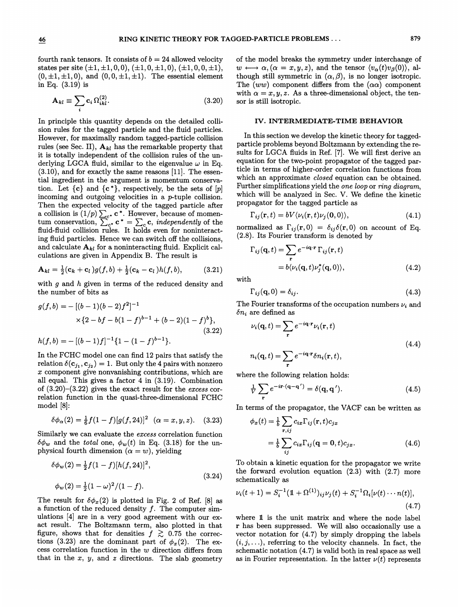fourth rank tensors. It consists of  $b = 24$  allowed velocity states per site  $(\pm 1, \pm 1, 0, 0), (\pm 1, 0, \pm 1, 0), (\pm 1, 0, 0, \pm 1),$  $(0, \pm 1, \pm 1, 0)$ , and  $(0, 0, \pm 1, \pm 1)$ . The essential element in Eq. (3.19) is

$$
\mathbf{A}_{kl} \equiv \sum_{i} \mathbf{c}_{i} \, \Omega_{ikl}^{(2)}.\tag{3.20}
$$

In principle this quantity depends on the detailed collision rules for the tagged particle and the fluid particles. However, for maximally random tagged-particle collision rules (see Sec. II),  $A_{kl}$  has the remarkable property that it is totally independent of the collision rules of the underlying LGCA fluid, similar to the eigenvalue  $\omega$  in Eq.  $(3.10)$ , and for exactly the same reasons  $[11]$ . The essential ingredient in the argument is momentum conservation. Let  $\{c\}$  and  $\{c^*\}$ , respectively, be the sets of  $[p]$ incoming and outgoing velocities in a p-tuple collision. Then the expected velocity of the tagged particle after 1 nen the expected velocity of the tagged particle after a collision is  $(1/p) \sum_{c}$ . C<sup>\*</sup>. However, because of momena collision is  $(1/p) \sum_{c^*} \mathbf{c}^* = \sum_c \mathbf{c}$ , *independently* of the<br>tum conservation,  $\sum_{c^*} \mathbf{c}^* = \sum_c \mathbf{c}$ , *independently* of the<br>fluid-fluid collision rules. It holds even for noninteract ing fluid particles. Hence we can switch off the collisions, and calculate  $A_{kl}$  for a noninteracting fluid. Explicit calculations are given in Appendix B. The result is

$$
\mathbf{A}_{kl} = \frac{1}{2} (\mathbf{c}_k + \mathbf{c}_l) g(f, b) + \frac{1}{2} (\mathbf{c}_k - \mathbf{c}_l) h(f, b), \tag{3.21}
$$

with  $q$  and  $h$  given in terms of the reduced density and the number of bits as

$$
g(f,b) = -[(b-1)(b-2)f^{2}]^{-1}
$$
  
×{2 - bf - b(1 - f)<sup>b-1</sup> + (b-2)(1 - f)<sup>b</sup>},  

$$
h(f,b) = -[(b-1)f]^{-1}{1 - (1 - f)b-1}.
$$
 (3.22)

In the FCHC model one can find 12 pairs that satisfy the relation  $\delta(c_{j_1}, c_{j_2}) = 1$ . But only the 4 pairs with nonzero x component give nonvanishing contributions, which are all equal. This gives a factor 4 in (3.19). Combination of  $(3.20)$ – $(3.22)$  gives the exact result for the excess correlation function in the quasi-three-dimensional FCHC model [8]:

$$
\delta\phi_{\alpha}(2) = \frac{1}{6}f(1-f)[g(f,24)]^2 \quad (\alpha = x, y, z). \quad (3.23)
$$

Similarly we can evaluate the excess correlation function  $\delta\phi_w$  and the total one,  $\phi_w(t)$  in Eq. (3.18) for the unphysical fourth dimension  $(\alpha = w)$ , yielding

$$
\delta\phi_w(2) = \frac{1}{2}f(1-f)[h(f,24)]^2,
$$
  
\n
$$
\phi_w(2) = \frac{1}{2}(1-\omega)^2/(1-f).
$$
\n(3.24)

The result for  $\delta\phi_x(2)$  is plotted in Fig. 2 of Ref. [8] as a function of the reduced density  $f$ . The computer simulations [4] are in a very good agreement with our exact result. The Boltzmann term, also plotted in that figure, shows that for densities  $f \gtrsim 0.75$  the corrections (3.23) are the dominant part of  $\phi_x(2)$ . The excess correlation function in the  $w$  direction differs from that in the  $x$ ,  $y$ , and  $z$  directions. The slab geometry of the model breaks the symmetry under interchange of  $w \longleftrightarrow \alpha, (\alpha = x, y, z),$  and the tensor  $\langle v_{\alpha}(t)v_{\beta}(0) \rangle$ , although still symmetric in  $(\alpha, \beta)$ , is no longer isotropic. The (ww) component differs from the ( $\alpha\alpha$ ) component with  $\alpha = x, y, z$ . As a three-dimensional object, the tensor is still isotropic.

### IV. INTERMEDIATE- TIME BEHAVIOR

In this section we develop the kinetic theory for taggedparticle problems beyond Boltzmann by extending the results for LGCA fluids in Ref. [7]. We will first derive an equation for the two-point propagator of the tagged particle in terms of higher-order correlation functions from which an approximate *closed* equation can be obtained. Further simplifications yield the one loop or ring diagram, which will be analyzed in Sec. V. We define the kinetic propagator for the tagged particle as

$$
\Gamma_{ij}(\mathbf{r},t) = bV \langle \nu_i(\mathbf{r},t) \nu_j(\mathbf{0},0) \rangle, \tag{4.1}
$$

normalized as  $\Gamma_{ij}({\bf r}, 0) = \delta_{ij}\delta({\bf r}, 0)$  on account of Eq. (2.8). Its Fourier transform is denoted by

$$
\Gamma_{ij}(\mathbf{q},t) = \sum_{\mathbf{r}} e^{-i\mathbf{q}\cdot\mathbf{r}} \Gamma_{ij}(\mathbf{r},t)
$$
  
=  $b \langle \nu_i(\mathbf{q},t) \nu_j^*(\mathbf{q},0) \rangle,$  (4.2)

with

$$
\Gamma_{ij}(\mathbf{q},0) = \delta_{ij}.\tag{4.3}
$$

The Fourier transforms of the occupation numbers  $\nu_i$  and  $\delta n_i$  are defined as

$$
\nu_i(\mathbf{q}, t) = \sum_{\mathbf{r}} e^{-i\mathbf{q} \cdot \mathbf{r}} \nu_i(\mathbf{r}, t)
$$
  

$$
n_i(\mathbf{q}, t) = \sum_{\mathbf{r}} e^{-i\mathbf{q} \cdot \mathbf{r}} \delta n_i(\mathbf{r}, t),
$$
 (4.4)

where the following relation holds:

$$
\frac{1}{V} \sum_{\mathbf{r}} e^{-i\mathbf{r} \cdot (\mathbf{q} - \mathbf{q}')} = \delta(\mathbf{q}, \mathbf{q}'). \tag{4.5}
$$

In terms of the propagator, the VACF can be written as

$$
\phi_x(t) = \frac{1}{b} \sum_{\mathbf{r}, ij} c_{ix} \Gamma_{ij}(\mathbf{r}, t) c_{jx}
$$

$$
= \frac{1}{b} \sum_{ij} c_{ix} \Gamma_{ij}(\mathbf{q} = \mathbf{0}, t) c_{jx}.
$$
(4.6)

To obtain a kinetic equation for the propagator we write the forward evolution equation (2.3) with (2.7) more schematically as

$$
\nu_i(t+1) = S_i^{-1}(\mathbb{1} + \Omega^{(1)})_{ij}\nu_j(t) + S_i^{-1}\Omega_i[\nu(t)\cdots n(t)],
$$
\n(4.7)

where 1 is the unit matrix and where the node label r has been suppressed. We will also occasionally use a vector notation for (4.7) by simply dropping the labels  $(i, j, \ldots)$ , referring to the velocity channels. In fact, the schematic notation (4.7) is valid both in real space as well as in Fourier representation. In the latter  $\nu(t)$  represents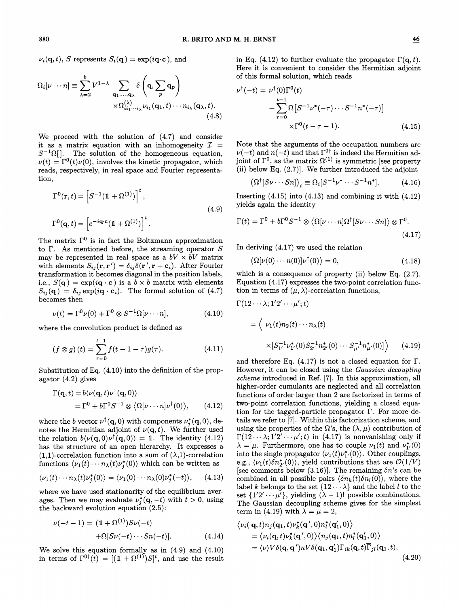$\nu_i(\mathbf{q},t)$ , S represents  $S_i(\mathbf{q}) = \exp(i\mathbf{q}\cdot\mathbf{c})$ , and

$$
\Omega_i[\nu \cdots n] \equiv \sum_{\lambda=2}^b V^{1-\lambda} \sum_{\mathbf{q}_1, \dots, \mathbf{q}_\lambda} \delta\left(\mathbf{q}, \sum_p \mathbf{q}_p\right) \times \Omega_{ii_1 \cdots i_\lambda}^{(\lambda)} \nu_{i_1}(\mathbf{q}_1, t) \cdots n_{i_\lambda}(\mathbf{q}_\lambda, t). \tag{4.8}
$$

We proceed with the solution of (4.7) and consider it as a matrix equation with an inhomogeneity  $\mathcal{I} =$  $S^{-1}\Omega$ . The solution of the homogeneous equation,  $\nu(t) = \Gamma^0(t)\nu(0)$ , involves the kinetic propagator, which reads, respectively, in real space and Fourier representation,

$$
\Gamma^{0}(\mathbf{r},t) = \left[S^{-1}(\mathbb{1} + \Omega^{(1)})\right]^{t},
$$
  
\n
$$
\Gamma^{0}(\mathbf{q},t) = \left[e^{-i\mathbf{q}\cdot\mathbf{c}}(\mathbb{1} + \Omega^{(1)})\right]^{t}.
$$
\n(4.9)

The matrix  $\Gamma^0$  is in fact the Boltzmann approximation to  $\Gamma$ . As mentioned before, the streaming operator  $S$ may be represented in real space as a  $bV \times bV$  matrix with elements  $S_{ij}(\mathbf{r}, \mathbf{r}') = \delta_{ij}\delta(\mathbf{r}', \mathbf{r} + \mathbf{c}_i)$ . After Fourier transformation it becomes diagonal in the position labels, i.e.,  $S(\mathbf{q}) = \exp(i\mathbf{q} \cdot \mathbf{c})$  is a  $b \times b$  matrix with elements  $S_{ij}(\mathbf{q}) = \delta_{ij} \exp(i\mathbf{q} \cdot \mathbf{c}_i)$ . The formal solution of (4.7) becomes then

$$
\nu(t) = \Gamma^0 \nu(0) + \Gamma^0 \otimes S^{-1} \Omega[\nu \cdots n], \qquad (4.10)
$$

where the convolution product is defined as

$$
(f \otimes g)(t) = \sum_{\tau=0}^{t-1} f(t-1-\tau)g(\tau). \qquad (4.11)
$$
\n
$$
\times [S_{1'}^{-1}\nu_{1'}^{*}(0)S_{2'}^{-1}n_{2'}^{*}(0)\cdots S_{\mu'}^{-1}n_{\mu'}^{*}(0)] \qquad (4.19)
$$
\nand therefore Eq. (4.17) is not a closed equation for  $\Gamma$ .

Substitution of Eq. (4.10) into the definition of the propagator (4.2) gives

$$
\Gamma(\mathbf{q},t) = b\langle \nu(\mathbf{q},t)\nu^{\dagger}(\mathbf{q},0) \rangle
$$
  
=  $\Gamma^0 + b\Gamma^0 S^{-1} \otimes \langle \Omega[\nu \cdots n] \nu^{\dagger}(0) \rangle$ , (4.12)

where the b vector  $\nu^{\dagger}(\mathbf{q}, 0)$  with components  $\nu_i^*(\mathbf{q}, 0)$ , denotes the Hermitian adjoint of  $\nu(\mathbf{q}, t)$ . We further used the relation  $b\langle \nu(\mathbf{q},0)\nu^{\dagger}(\mathbf{q},0)\rangle = 1$ . The identity (4.12) has the structure of an open hierarchy. It expresses a  $(1,1)$ -correlation function into a sum of  $(\lambda,1)$ -correlation functions  $\langle \nu_1(t) \cdots n_{\lambda}(t)\nu_j^*(0) \rangle$  which can be written as

$$
\langle \nu_1(t) \cdots n_\lambda(t) \nu_j^*(0) \rangle = \langle \nu_1(0) \cdots n_\lambda(0) \nu_j^*(-t) \rangle, \qquad (4.13)
$$

where we have used stationarity of the equilibrium averages. Then we may evaluate  $\nu_i^*(\mathbf{q}, -t)$  with  $t > 0$ , using the backward evolution equation (2.5):

$$
\nu(-t-1) = (\mathbb{1} + \Omega^{(1)})S\nu(-t) + \Omega[S\nu(-t)\cdots Sn(-t)].
$$
 (4.14)

We solve this equation formally as in (4.9) and (4.10) in terms of  $\Gamma^{0\dagger}(t) = [(1+\Omega^{(1)})S]^t$ , and use the result in Eq. (4.12) to further evaluate the propagator  $\Gamma(\mathbf{q}, t)$ . Here it is convenient to consider the Hermitian adjoint of this formal solution, which reads

$$
\nu^{\dagger}(-t) = \nu^{\dagger}(0)\Gamma^{0}(t)
$$
  
+
$$
\sum_{\tau=0}^{t-1} \Omega[S^{-1}\nu^{*}(-\tau)\cdots S^{-1}n^{*}(-\tau)]
$$
  

$$
\times \Gamma^{0}(t-\tau-1). \qquad (4.15)
$$

Note that the arguments of the occupation numbers are  $\nu(-t)$  and  $n(-t)$  and that  $\Gamma^{0\dagger}$  is indeed the Hermitian adjoint of  $\Gamma^0$ , as the matrix  $\Omega^{(1)}$  is symmetric [see property (ii) below Eq. (2.7)]. We further introduced the adjoint

$$
(\Omega^{\dagger}[S\nu\cdots Sn])_i \equiv \Omega_i[S^{-1}\nu^*\cdots S^{-1}n^*]. \tag{4.16}
$$

Inserting  $(4.15)$  into  $(4.13)$  and combining it with  $(4.12)$ yields again the identity

$$
\Gamma(t) = \Gamma^0 + b\Gamma^0 S^{-1} \otimes \langle \Omega[\nu \cdots n] \Omega^{\dagger} [S\nu \cdots Sn] \rangle \otimes \Gamma^0.
$$
\n(4.17)

In deriving (4.17) we used the relation

$$
\langle \Omega[\nu(0)\cdots n(0)]\nu^{\dagger}(0)\rangle = 0, \qquad (4.18)
$$

which is a consequence of property (ii) below Eq. (2.7). Equation (4.17) expresses the two-point correlation function in terms of  $(\mu, \lambda)$ -correlation functions,

$$
\Gamma(12\cdots\lambda; 1'2'\cdots\mu';t)
$$
  
=  $\langle \nu_1(t)n_2(t)\cdots n_{\lambda}(t) \times [S_{1'}^{-1}\nu_{1'}^*(0)S_{2'}^{-1}n_{2'}^*(0)\cdots S_{\mu'}^{-1}n_{\mu'}^*(0)] \rangle$  (4.19)

and therefore Eq.  $(4.17)$  is not a closed equation for  $\Gamma$ . However, it can be closed using the Gaussian decoupling scheme introduced in Ref. [7]. In this approximation, all higher-order cumulants are neglected and all correlation functions of order larger than 2 are factorized in terms of two-point correlation functions, yielding a closed equation for the tagged-particle propagator  $\Gamma$ . For more details we refer to [7]. Within this factorization scheme, and using the properties of the  $\Omega$ 's, the  $(\lambda, \mu)$  contribution of  $\Gamma(12\cdots\lambda;1'2'\cdots\mu';t)$  in (4.17) is nonvanishing only if  $\lambda = \mu$ . Furthermore, one has to couple  $\nu_1(t)$  and  $\nu_1^*(0)$ into the single propagator  $\langle \nu_1(t) \nu_1^*(0) \rangle$ . Other couplings, e.g.,  $\langle \nu_1(t)\delta n_{2'}^*(0) \rangle$ , yield contributions that are  $\mathcal{O}(1/\overline{V})$ [see comments below (3.16)]. The remaining  $\delta n$ 's can be combined in all possible pairs  $\langle \delta n_k(t) \delta n_l(0) \rangle$ , where the label k belongs to the set  $\{12 \cdots \lambda\}$  and the label l to the set  $\{1'2' \cdots \mu'\}$ , yielding  $(\lambda - 1)!$  possible combinations. The Gaussian decoupling scheme gives for the simplest term in (4.19) with  $\lambda = \mu = 2$ ,

$$
\langle \nu_i(\mathbf{q},t)n_j(\mathbf{q}_1,t)\nu_k^*(\mathbf{q}',0)n_l^*(\mathbf{q}'_1,0)\rangle
$$
  
=  $\langle \nu_i(\mathbf{q},t)\nu_k^*(\mathbf{q}',0)\rangle \langle n_j(\mathbf{q}_1,t)n_l^*(\mathbf{q}'_1,0)\rangle$   
=  $\langle \nu \rangle V \delta(\mathbf{q},\mathbf{q}')\kappa V \delta(\mathbf{q}_1,\mathbf{q}'_1)\Gamma_{ik}(\mathbf{q},t)\overline{\Gamma}_{jl}(\mathbf{q}_1,t),$   
(4.20)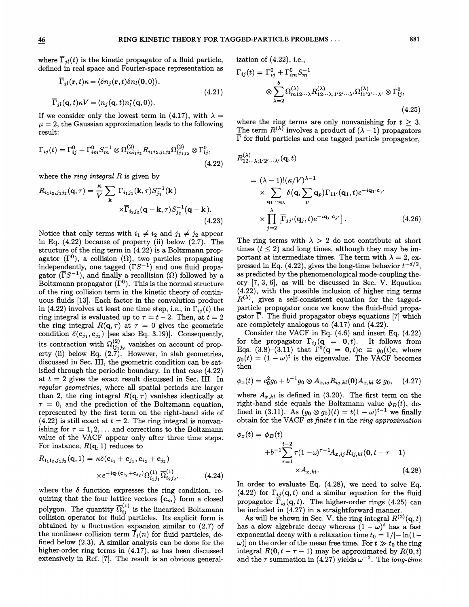where  $\overline{\Gamma}_{il}(t)$  is the kinetic propagator of a fluid particle. defined in real space and Fourier-space representation as

$$
\overline{\Gamma}_{jl}(\mathbf{r},t)\kappa = \langle \delta n_j(\mathbf{r},t)\delta n_l(\mathbf{0},0) \rangle,
$$
\n
$$
\overline{\Gamma}_{jl}(\mathbf{q},t)\kappa V = \langle n_j(\mathbf{q},t)n_l^*(\mathbf{q},0) \rangle.
$$
\n(4.21)

If we consider only the lowest term in (4.17), with  $\lambda =$  $\mu = 2$ , the Gaussian approximation leads to the following result:

$$
\Gamma_{ij}(t) = \Gamma_{ij}^0 + \Gamma_{im}^0 S_m^{-1} \otimes \Omega_{m i_1 i_2}^{(2)} R_{i_1 i_2, j_1 j_2} \Omega_{lj_1 j_2}^{(2)} \otimes \Gamma_{lj}^0,
$$
\n(4.22)

where the ring integral R is given by  
\n
$$
R_{i_1 i_2, j_1 j_2}(\mathbf{q}, \tau) = \frac{\kappa}{V} \sum_{\mathbf{k}} \Gamma_{i_1 j_1}(\mathbf{k}, \tau) S_{j_1}^{-1}(\mathbf{k})
$$
\n
$$
\times \overline{\Gamma}_{i_2 j_2}(\mathbf{q} - \mathbf{k}, \tau) S_{j_2}^{-1}(\mathbf{q} - \mathbf{k}).
$$
\n(4.23)

Notice that only terms with  $i_1 \neq i_2$  and  $j_1 \neq j_2$  appear in Eq. (4.22) because of property (ii) below (2.7). The structure of the ring term in (4.22) is a Boltzmann propagator  $(\Gamma^0)$ , a collision  $(\Omega)$ , two particles propagating independently, one tagged  $(\Gamma S^{-1})$  and one fluid propagator  $(\overline{\Gamma}S^{-1})$ , and finally a recollision ( $\Omega$ ) followed by a Boltzmann propagator  $(\Gamma^0)$ . This is the normal structure of the ring collision term in the kinetic theory of continuous fluids [13]. Each factor in the convolution product in (4.22) involves at least one time step, i.e., in  $\Gamma_{ij}^{\bullet}(t)$  the ring integral is evaluated up to  $\tau = t - 2$ . Then, at  $t = 2$ the ring integral  $R(\mathbf{q}, \tau)$  at  $\tau = 0$  gives the geometric condition  $\delta(\mathbf{c}_{j_1}, \mathbf{c}_{j_2})$  [see also Eq. 3.19)]. Consequentl its contraction with  $\Omega_{ij_1j_2}^{(2)}$  vanishes on account of property (ii) below Eq. (2.7). However, in slab geometries discussed in Sec. III, the geometric condition can be satisfied through the periodic boundary. In that case (4.22) at  $t = 2$  gives the exact result discussed in Sec. III. In regular geometries, where all spatial periods are larger than 2, the ring integral  $R(\mathbf{q}, \tau)$  vanishes identically at  $\tau = 0$ , and the prediction of the Boltzmann equation, represented by the first term on the right-hand side of  $(4.22)$  is still exact at  $t = 2$ . The ring integral is nonvanishing for  $\tau = 1, 2, \ldots$  and corrections to the Boltzmann value of the VACF appear only after three time steps. For instance,  $R(\mathbf{q},1)$  reduces to

$$
R_{i_1 i_2, j_1 j_2}(\mathbf{q}, 1) = \kappa \delta(\mathbf{c}_{i_1} + \mathbf{c}_{j_1}, \mathbf{c}_{i_2} + \mathbf{c}_{j_2})
$$
  
 
$$
\times e^{-i\mathbf{q} \cdot (\mathbf{c}_{i_2} + \mathbf{c}_{j_2})} \Omega_{i_1 j_1}^{(1)} \overline{\Omega}_{i_2 j_2}^{(1)},
$$
 (4.24)

where the  $\delta$  function expresses the ring condition, requiring that the four lattice vectors  $\{c_m\}$  form a closed polygon. The quantity  $\overline{\Omega}_{ij}^{(1)}$  is the linearized Boltzman collision operator for fluid particles. Its explicit form is obtained by a fluctuation expansion similar to (2.7) of the nonlinear collision term  $\overline{I}_i(n)$  for fluid particles, defined below (2.3). A similar analysis can be done for the higher-order ring terms in  $(4.17)$ , as has been discussed extensively in Ref. [7]. The result is an obvious general-

ization of (4.22), i.e.,

\n
$$
\Gamma_{ij}(t) = \Gamma_{ij}^{0} + \Gamma_{im}^{0} S_{m}^{-1}
$$
\n
$$
\otimes \sum_{\lambda=2}^{b} \Omega_{m12\cdots\lambda}^{(\lambda)} R_{12\cdots\lambda,1'2'\cdots\lambda'}^{(\lambda)} \Omega_{l1'2'\cdots\lambda'}^{(\lambda)} \otimes \Gamma_{lj}^{0},
$$
\n(4.25)

where the ring terms are only nonvanishing for  $t \geq 3$ . The term  $R^{(\lambda)}$  involves a product of  $(\lambda - 1)$  propagators  $\overline{\Gamma}$  for fluid particles and one tagged particle propagator,

$$
R_{12\cdots\lambda;1'2'\cdots\lambda'}^{(\lambda)}(\mathbf{q},t)
$$
  
=  $(\lambda - 1)!(\kappa/V)^{\lambda-1}$   
 $\times \sum_{\mathbf{q}_1\cdots\mathbf{q}_\lambda} \delta(\mathbf{q}, \sum_p \mathbf{q}_p) \Gamma_{11'}(\mathbf{q}_1, t) e^{-i\mathbf{q}_1 \cdot \mathbf{c}_1 t}$   
 $\times \prod_{j=2}^{\lambda} [\overline{\Gamma}_{jj'}(\mathbf{q}_j, t) e^{-i\mathbf{q}_j \cdot \mathbf{c}_{j'}}].$  (4.26)

The ring terms with  $\lambda > 2$  do not contribute at short times  $(t \leq 2)$  and long times, although they may be important at intermediate times. The term with  $\lambda = 2$ , expressed in Eq. (4.22), gives the long-time behavior  $t^{-d/2}$ , as predicted by the phenomenological mode-coupling theory [7, 3, 6], as will be discussed in Sec. V. Equation (4.22), with the possible inclusion of higher ring terms  $R^{(\lambda)}$ , gives a self-consistent equation for the taggedparticle propagator once we know the fluid-fluid propagator  $\overline{\Gamma}$ . The fluid propagator obeys equations [7] which are completely analogous to (4.17) and (4.22).

Consider the VACF in Eq. (4.6) and insert Eq. (4.22) for the propagator  $\Gamma_{ij}(\mathbf{q} = \mathbf{0}, t)$ . It follows from Eqs. (3.8)–(3.11) that  $\Gamma^{0}({\bf q} = 0, t)$ c  $\equiv g_{0}(t)$ c, where  $g_0(t) = (1 - \omega)^t$  is the eigenvalue. The VACF becomes then

$$
\phi_x(t) = c_0^2 g_0 + b^{-1} g_0 \otimes A_{x,ij} R_{ij,kl}(0) A_{x,kl} \otimes g_0, \quad (4.27)
$$

where  $A_{x,kl}$  is defined in (3.20). The first term on the right-hand side equals the Boltzmann value  $\phi_B(t)$ , defined in (3.11). As  $(g_0 \otimes g_0)(t) = t(1 - \omega)^{t-1}$  we finally obtain for the VACF at finite t in the ring approximation

$$
\phi_x(t) = \phi_B(t)
$$
  
+ $b^{-1} \sum_{\tau=1}^{t-2} \tau (1 - \omega)^{\tau-1} A_{x,ij} R_{ij,kl}(\mathbf{0}, t - \tau - 1)$   
× $A_{x,kl}.$  (4.28)

In order to evaluate Eq. (4.28), we need to solve Eq. (4.22) for  $\Gamma_{ij}(\mathbf{q}, t)$  and a similar equation for the fluid propagator  $\overline{\Gamma}_{ij}(\mathbf{q}, t)$ . The higher-order rings (4.25) can be included in  $(4.27)$  in a straightforward manner.

As will be shown in Sec. V, the ring integral  $R^{(2)}(q, t)$ has a slow algebraic decay whereas  $(1 - \omega)^t$  has a fast exponential decay with a relaxation time  $t_0 = 1/[-\ln(1-\frac{1}{2})]$  $\omega$ ) on the order of the mean free time. For  $t \gg t_0$  the ring integral  $R(0, t - \tau - 1)$  may be approximated by  $R(0, t)$ and the  $\tau$  summation in (4.27) yields  $\omega^{-2}$ . The long-time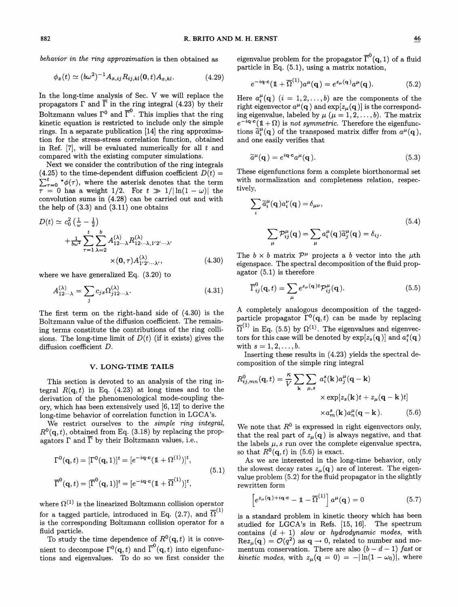$$
\phi_x(t) \simeq (b\omega^2)^{-1} A_{x,ij} R_{ij,kl}(0,t) A_{x,kl}.
$$
 (4.29)

In the long-time analysis of Sec. V we will replace the propagators  $\Gamma$  and  $\overline{\Gamma}$  in the ring integral (4.23) by their Boltzmann values  $\Gamma^0$  and  $\overline{\Gamma}^0$ . This implies that the ring kinetic equation is restricted to include only the simple rings. In a separate publication [14] the ring approximation for the stress-stress correlation function, obtained in Ref.  $[7]$ , will be evaluated numerically for all  $t$  and compared with the existing computer simulations.

Next we consider the contribution of the ring integrals (4.25) to the time-dependent diffusion coefficient  $D(t) =$  $\int_0^{\infty} \phi(\tau)$ , where the asterisk denotes that the term  $\tau = 0$  has a weight 1/2. For  $t \gg 1/|\ln(1-\omega)|$  the convolution sums in (4.28) can be carried out and with the help of  $(3.3)$  and  $(3.11)$  one obtains

$$
D(t) \simeq c_0^2 \left(\frac{1}{\omega} - \frac{1}{2}\right)
$$
  
+  $\frac{1}{b\omega^2} \sum_{\tau=1}^t \sum_{\lambda=2}^b A_{12\cdots\lambda}^{(\lambda)} R_{12\cdots\lambda,1'2'\cdots\lambda'}^{(\lambda)}$   
×  $(0, \tau) A_{1'2'\cdots\lambda'}^{(\lambda)}$  (4.30)

where we have generalized Eq. (3.20) to

$$
A_{12\cdots\lambda}^{(\lambda)} = \sum_{j} c_{jx} \Omega_{j12\cdots\lambda}^{(\lambda)}.
$$
 (4.31)  $\overline{\Gamma}_{i}$ 

The first term on the right-hand side of (4.30) is the Boltzmann value of the diffusion coefflcient. The remaining terms constitute the contributions of the ring collisions. The long-time limit of  $D(t)$  (if it exists) gives the diffusion coefficient D.

### V. LONG-TIME TAILS

This section is devoted to an analysis of the ring integral  $R(q, t)$  in Eq. (4.23) at long times and to the derivation of the phenomenological mode-coupling theory, which has been extensively used [6, 12] to derive the long-time behavior of correlation function in LGCA's.

We restrict ourselves to the *simple ring integral*,  $R^{0}(\mathbf{q}, t)$ , obtained from Eq. (3.18) by replacing the propagators  $\Gamma$  and  $\overline{\Gamma}$  by their Boltzmann values, i.e.,

$$
\Gamma^{0}(\mathbf{q},t) = [\Gamma^{0}(\mathbf{q},1)]^{t} = [e^{-i\mathbf{q}\cdot\mathbf{c}}(\mathbb{1}+\Omega^{(1)})]^{t},
$$
  
\n
$$
\overline{\Gamma}^{0}(\mathbf{q},t) = [\overline{\Gamma}^{0}(\mathbf{q},1)]^{t} = [e^{-i\mathbf{q}\cdot\mathbf{c}}(\mathbb{1}+\overline{\Omega}^{(1)})]^{t},
$$
\n(5.1)

where  $\Omega^{(1)}$  is the linearized Boltzmann collision operator for a tagged particle, introduced in Eq. (2.7), and  $\overline{\Omega}^{(1)}$ is the corresponding Boltzmann collision operator for a fluid particle.

To study the time dependence of  $R^0(\mathbf{q}, t)$  it is convenient to decompose  $\Gamma^{0}(\mathbf{q}, t)$  and  $\overline{\Gamma}^{0}(\mathbf{q}, t)$  into eigenfunctions and eigenvalues. To do so we first consider the

behavior in the ring approximation is then obtained as eigenvalue problem for the propagator  $\overline{\Gamma}^0(\mathbf{q},1)$  of a fluid particle in Eq. (5.1), using a matrix notation,

$$
e^{-i\mathbf{q}\cdot\mathbf{c}}(\mathbb{1}+\overline{\Omega}^{(1)})a^{\mu}(\mathbf{q})=e^{z_{\mu}(\mathbf{q})}a^{\mu}(\mathbf{q}).
$$
 (5.2)

Here  $a_i^{\mu}(\mathbf{q})$   $(i = 1, 2, ..., b)$  are the components of the right eigenvector  $a^{\mu}(\mathbf{q})$  and  $\exp[z_{\mu}(\mathbf{q})]$  is the corresponding eigenvalue, labeled by  $\mu$  ( $\mu = 1, 2, \ldots, b$ ). The matrix  $e^{-i\mathbf{q}\cdot\mathbf{c}}(1+\Omega)$  is not symmetric. Therefore the eigenfunc $e^{-i\mathbf{q}\cdot\mathbf{c}}(\mathbf{1}+\Omega)$  is not symmetric. Therefore the eigenfunctions  $\tilde{a}_i^{\mu}(\mathbf{q})$  of the transposed matrix differ from  $a^{\mu}(\mathbf{q})$ , and one easily verifies that

$$
\widetilde{a}^{\mu}(\mathbf{q}) = e^{i\mathbf{q}\cdot\mathbf{c}} a^{\mu}(\mathbf{q}). \tag{5.3}
$$

These eigenfunctions form a complete biorthonormal set with normalization and completeness relation, respectively,

$$
\sum_{i} \widetilde{a}_{i}^{\mu}(\mathbf{q}) a_{i}^{\nu}(\mathbf{q}) = \delta_{\mu\nu},
$$
\n
$$
\sum_{\mu} \mathcal{P}_{ij}^{\mu}(\mathbf{q}) = \sum_{\mu} a_{i}^{\mu}(\mathbf{q}) \widetilde{a}_{j}^{\mu}(\mathbf{q}) = \delta_{ij}.
$$
\n(5.4)

The  $b \times b$  matrix  $\mathcal{P}^{\mu}$  projects a b vector into the  $\mu$ th eigenspace. The spectral decomposition of the fluid propagator (5.1) is therefore

$$
\overline{\Gamma}_{ij}^{0}(\mathbf{q},t) = \sum_{\mu} e^{z_{\mu}(\mathbf{q})t} \mathcal{P}_{ij}^{\mu}(\mathbf{q}).
$$
\n(5.5)

A completely analogous decomposition of the taggedparticle propagator  $\Gamma^{0}(q,t)$  can be made by replacing particle propagator  $\Gamma$  (q,v) can be made by replacing  $\overline{\Omega}^{(1)}$  in Eq. (5.5) by  $\Omega^{(1)}$ . The eigenvalues and eigenvectors for this case will be denoted by  $\exp[z_s(q)]$  and  $a_i^s(q)$ with  $s = 1, 2, ..., b$ .

Inserting these results in (4.23) yields the spectral decomposition of the simple ring integral

$$
R_{ij,mn}^{0}(\mathbf{q},t) = \frac{\kappa}{V} \sum_{\mathbf{k}} \sum_{\mu,s} a_{i}^{s}(\mathbf{k}) a_{j}^{\mu}(\mathbf{q} - \mathbf{k})
$$

$$
\times \exp[z_{s}(\mathbf{k})t + z_{\mu}(\mathbf{q} - \mathbf{k})t]
$$

$$
\times a_{m}^{s}(\mathbf{k}) a_{n}^{\mu}(\mathbf{q} - \mathbf{k}). \qquad (5.6)
$$

We note that  $R^0$  is expressed in right eigenvectors only, that the real part of  $z_{\mu}(\mathbf{q})$  is always negative, and that the labels  $\mu$ , s run over the complete eigenvalue spectra, so that  $R^0(\mathbf{q}, t)$  in (5.6) is exact.

As we are interested in the long-time behavior, only the slowest decay rates  $z_{\mu}(\mathbf{q})$  are of interest. The eigenvalue problem (5.2) for the fluid propagator in the slightly rewritten form

$$
\[e^{z_{\mu}(\mathbf{q})+i\mathbf{q}\cdot\mathbf{c}}-\mathbb{1}-\overline{\Omega}^{(1)}\]\,a^{\mu}(\mathbf{q})=0\tag{5.7}
$$

is a standard problem in kinetic theory which has been studied for LGCA's in Refs. [15, 16]. The spectrum contains  $(d + 1)$  slow or hydrodynamic modes, with  $\text{Re}z_{\mu}(\mathbf{q}) = \mathcal{O}(q^2)$  as  $\mathbf{q} \to 0$ , related to number and momentum conservation. There are also  $(b-d-1)$  fast or kinetic modes, with  $z_{\mu}(\mathbf{q} = 0) = -|\ln(1 - \omega_0)|$ , where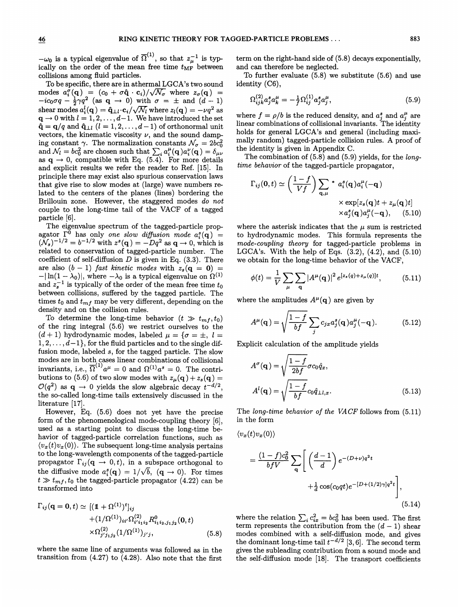$-\omega_0$  is a typical eigenvalue of  $\overline{\Omega}^{(1)}$ , so that  $z_\mu^{-1}$  is typically on the order of the mean free time  $t_{\text{MF}}$  between collisions among fluid particles.

To be specific, there are in athermal LGCA's two sound modes  $a_i^{\sigma}(\mathbf{q}) = (c_0 + \sigma \hat{\mathbf{q}} \cdot \mathbf{c}_i)/\sqrt{\mathcal{N}_{\sigma}}$  where  $z_{\sigma}(\mathbf{q}) = -ic_0\sigma q - \frac{1}{2}\gamma q^2$  (as  $\mathbf{q} \to 0$ ) with  $\sigma = \pm$  and  $(d-1)$ shear modes  $a_i^l(\mathbf{q}) = \hat{\mathbf{q}}_{\perp l} \cdot \mathbf{c}_i/\sqrt{\mathcal{N}_l}$  where  $z_l(\mathbf{q}) = -\nu q^2$  as  $q \to 0$  with  $l = 1, 2, \ldots, d-1$ . We have introduced the set  $\hat{\mathbf{q}} = \mathbf{q}/q$  and  $\hat{\mathbf{q}}_{\perp l}$   $(l = 1, 2, \ldots, d - 1)$  of orthonormal unit vectors, the kinematic viscosity  $\nu$ , and the sound damping constant  $\gamma$ . The normalization constants  $\mathcal{N}_{\sigma} = 2bc_0^2$ and  $\mathcal{N}_l = bc_0^2$  are chosen such that  $\sum_i a_i^{\mu}(\mathbf{q})a_i^{\nu}(\mathbf{q}) = \delta_{\mu\nu}$ as  $q \rightarrow 0$ , compatible with Eq. (5.4). For more details and explicit results we refer the reader to Ref. [15]. In principle there may exist also spurious conservation laws that give rise to slow modes at (large) wave numbers related to the centers of the planes (lines) bordering the Brillouin zone. However, the staggered modes do not couple to the long-time tail of the VACF of a tagged particle [6].

The eigenvalue spectrum of the tagged-particle propagator  $\Gamma^0$  has only one slow diffusion mode  $a_i^s(q)$  $(N_s)^{-1/2} = b^{-1/2}$  with  $z^s(q) = -Dq^2$  as  $q \to 0$ , which is related to conservation of tagged-particle number. The coefficient of self-diffusion  $D$  is given in Eq. (3.3). There are also  $(b-1)$  fast kinetic modes with  $z_s(\mathbf{q} = \mathbf{0}) =$ <br>-  $|\ln(1 - \lambda_0)|$ , where  $-\lambda_0$  is a typical eigenvalue on  $\Omega^{(1)}$ and  $z_s^{-1}$  is typically of the order of the mean free time  $t_0$ between collisions, suffered by the tagged particle. The times  $t_0$  and  $t_{mf}$  may be very different, depending on the density and on the collision rules.

To determine the long-time behavior  $(t \gg t_{mf}, t_0)$ of the ring integral (5.6) we restrict ourselves to the  $(d+1)$  hydrodynamic modes, labeled  $\mu = \{\sigma = \pm, l =$  $1, 2, \ldots, d-1$ , for the fluid particles and to the single diffusion mode, labeled  $s$ , for the tagged particle. The slow modes are in both cases linear combinations of collisional invariants, i.e.,  $\overline{\Omega}^{(1)} a^{\mu} = 0$  and  $\Omega^{(1)} a^s = 0$ . The contri butions to (5.6) of two slow modes with  $z_{\mu}(\mathbf{q}) + z_s(\mathbf{q}) =$  $\mathcal{O}(q^2)$  as  $\mathbf{q} \to 0$  yields the slow algebraic decay  $t^{-d/2}$ , the so-called long-time tails extensively discussed in the literature [17].

However, Eq. (5.6) does not yet have the precise form of the phenomenological mode-coupling theory [6], used as a starting point to discuss the long-time behavior of tagged-particle correlation functions, such as  $\langle v_x(t)v_x(0) \rangle$ . The subsequent long-time analysis pertains to the long-wavelength components of the tagged-particle propagator  $\Gamma_{ij}(\mathbf{q} \to 0, t)$ , in a subspace orthogonal to the diffusive mode  $a_i^s(\mathbf{q}) = 1/\sqrt{b}$ ,  $(\mathbf{q} \to 0)$ . For times  $t \gg t_{mf}$ ,  $t_0$  the tagged-particle propagator (4.22) can be transformed into

$$
\Gamma_{ij}(\mathbf{q} = \mathbf{0}, t) \simeq [(\mathbb{1} + \Omega^{(1)})^t]_{ij} + (1/\Omega^{(1)})_{ii'}\Omega^{(2)}_{i'i_1i_2}R^0_{i_1i_2,j_1j_2}(\mathbf{0}, t) + \chi\Omega^{(2)}_{j'j_1j_2}(1/\Omega^{(1)})_{j'j}, \qquad (5.8)
$$

where the same line of arguments was followed as in the transition from (4.27) to (4.28). Also note that the first

term on the right-hand side of (5.8) decays exponentially, and can therefore be neglected.

To further evaluate (5.8) we substitute (5.6) and use identity (C6),

$$
\Omega_{ijk}^{(2)} a_j^s a_k^\mu = -\frac{1}{f} \Omega_{ij}^{(1)} a_j^s a_j^\mu, \tag{5.9}
$$

where  $f = \rho/b$  is the reduced density, and  $a_j^s$  and  $a_j^{\mu}$  are linear combinations of collisional invariants. The identity holds for general LGCA's and general (including maximally random) tagged-particle collision rules. A proof of the identity is given in Appendix C.

The combination of  $(5.8)$  and  $(5.9)$  yields, for the longtime behavior of the tagged-particle propagator,

$$
\Gamma_{ij}(\mathbf{0},t) \simeq \left(\frac{1-f}{Vf}\right) \sum_{\mathbf{q},\mu} * a_i^s(\mathbf{q}) a_i^{\mu}(-\mathbf{q})
$$
  
 
$$
\times \exp[z_s(\mathbf{q})t + z_{\mu}(\mathbf{q})t]
$$
  
 
$$
\times a_j^s(\mathbf{q}) a_j^{\mu}(-\mathbf{q}), \quad (5.10)
$$

where the asterisk indicates that the  $\mu$  sum is restricted to hydrodynamic modes. This formula represents the mode-coupling theory for tagged-particle problems in LGCA's. With the help of Eqs.  $(3.2)$ ,  $(4.2)$ , and  $(5.10)$ we obtain for the long-time behavior of the VACF,

$$
\phi(t) = \frac{1}{V} \sum_{\mu} \sum_{\mathbf{q}} |A^{\mu}(\mathbf{q})|^2 e^{[z_s(q) + z_{\mu}(q)]t}, \quad (5.11)
$$

where the amplitudes  $A^{\mu}(\mathbf{q})$  are given by

$$
A^{\mu}(\mathbf{q}) = \sqrt{\frac{1-f}{bf}} \sum_{j} c_{jx} a_j^s(\mathbf{q}) a_j^{\mu}(-\mathbf{q}). \qquad (5.12)
$$

Explicit calculation of the amplitude yields

$$
A^{\sigma}(\mathbf{q}) = \sqrt{\frac{1-f}{2bf}} \sigma c_0 \hat{q}_x,
$$
  

$$
A^{l}(\mathbf{q}) = \sqrt{\frac{1-f}{bf}} \sigma c_0 \hat{q}_{\perp l,x}.
$$
 (5.13)

The long-time behavior of the VACF follows from  $(5.11)$ 

in the form  
\n
$$
\langle v_x(t)v_x(0) \rangle
$$
\n
$$
= \frac{(1-f)c_0^2}{b f V} \sum_{\mathbf{q}} \left[ \left( \frac{d-1}{d} \right) e^{-(D+\nu)q^2 t} + \frac{1}{d} \cos(c_0 qt) e^{-[D+(1/2)\gamma]q^2 t} \right],
$$
\n(5.14)

where the relation  $\sum_i c_{ix}^2 = bc_0^2$  has been used. The first term represents the contribution from the  $(d-1)$  shear modes combined with a self-diffusion mode, and gives the dominant long-time tail  $t^{-d/2}$  [3,6]. The second term gives the subleading contribution from a sound mode and the self-diffusion mode [18]. The transport coefficients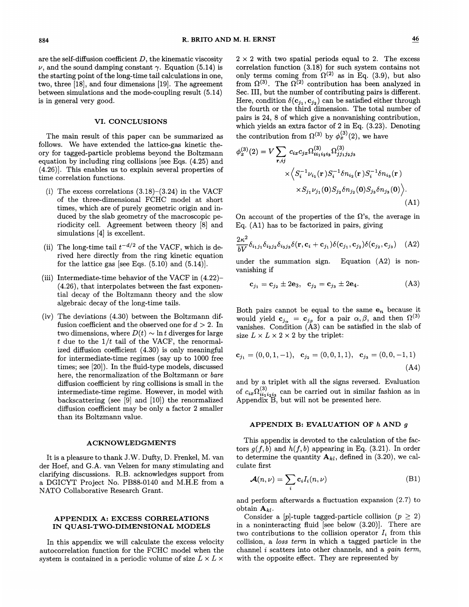are the self-diffusion coefficient  $D$ , the kinematic viscosity  $\nu$ , and the sound damping constant  $\gamma$ . Equation (5.14) is the starting point of the long-time tail calculations in one, two, three [18], and four dimensions [19]. The agreement between simulations and the mode-coupling result (5.14) is in general very good.

### VI. CONCLUSIONS

The main result of this paper can be summarized as follows. We have extended the lattice-gas kinetic theory for tagged-particle problems beyond the Boltzmann equation by including ring collisions [see Eqs. (4.25) and (4.26)]. This enables us to explain several properties of time correlation functions.

- (i) The excess correlations  $(3.18)$ – $(3.24)$  in the VACF of the three-dimensional FCHC model at short times, which are of purely geometric origin and induced by the slab geometry of the macroscopic periodicity cell. Agreement between theory [8] and simulations [4] is excellent.
- (ii) The long-time tail  $t^{-d/2}$  of the VACF, which is derived here directly from the ring kinetic equation for the lattice gas [see Eqs.  $(5.10)$  and  $(5.14)$ ].
- (iii) Intermediate-time behavior of the VACF in (4.22)— (4.26), that interpolates between the fast exponential decay of the Boltzmann theory and the slow algebraic decay of the long-time tails.
- (iv) The deviations (4.30) between the Boltzmann diffusion coefficient and the observed one for  $d > 2$ . In two dimensions, where  $D(t) \sim \ln t$  diverges for large t due to the  $1/t$  tail of the VACF, the renormalized diffusion coefficient (4.30) is only meaningful for intermediate-time regimes (say up to 1000 free times; see [20]). In the fluid-type models, discussed here, the renormalization of the Boltzmann or bare diffusion coefficient by ring collisions is small in the intermediate-time regime. However, in model with backscattering (see [9] and [10]) the renormalized diffusion coefficient may be only a factor 2 smaller than its Boltzmann value.

#### ACKNOWLEDGMENTS

It is a pleasure to thank J.W. Dufty, D. Frenkel, M. van der Hoef, and G.A. van Velzen for many stimulating and clarifying discussions. R.B. acknowledges support from a DGICYT Project No. PB88-0140 and M.H.E from a NATO Collaborative Research Grant.

## APPENDIX A: EXCESS CORRELATIONS IN QUASI-TWO-DIMENSIONAL MODELS

In this appendix we will calculate the excess velocity autocorrelation function for the FCHC model when the system is contained in a periodic volume of size  $L \times L \times$ 

 $2 \times 2$  with two spatial periods equal to 2. The excess correlation function (3.18) for such system contains not only terms coming from  $\Omega^{(2)}$  as in Eq. (3.9), but also from  $\Omega^{(3)}$ . The  $\Omega^{(2)}$  contribution has been analyzed in Sec. III, but the number of contributing pairs is different. Here, condition  $\delta(\mathbf{c}_{j_1}, \mathbf{c}_{j_2})$  can be satisfied either throug the fourth or the third dimension. The total number of pairs is 24, 8 of which give a nonvanishing contribution, which yields an extra factor of 2 in Eq. (3.23). Denoting the contribution from  $\Omega^{(3)}$  by  $\phi_x^{(3)}(2)$ , we have

$$
\phi_x^{(3)}(2) = V \sum_{\mathbf{r},ij} c_{ix} c_{jx} \Omega_{ii_1 i_2 i_3}^{(3)} \Omega_{jj_1 j_2 j_3}^{(3)}
$$

$$
\times \left\langle S_i^{-1} \nu_{i_1}(\mathbf{r}) S_i^{-1} \delta n_{i_2}(\mathbf{r}) S_i^{-1} \delta n_{i_3}(\mathbf{r}) \right\rangle
$$

$$
\times S_{j_1} \nu_{j_1}(0) S_{j_2} \delta n_{j_2}(0) S_{j_3} \delta n_{j_3}(0) \Big\rangle.
$$
(A1)

On account of the properties of the  $\Omega$ 's, the average in Eq. (Al) has to be factorized in pairs, giving

$$
\frac{2\kappa^2}{bV}\delta_{i_1j_1}\delta_{i_2j_2}\delta_{i_3j_3}\delta(\mathbf{r}, \mathbf{c}_i + \mathbf{c}_{j_1})\delta(\mathbf{c}_{j_1}, \mathbf{c}_{j_2})\delta(\mathbf{c}_{j_2}, \mathbf{c}_{j_3}) \quad (A2)
$$

under the summation sign. Equation  $(A2)$  is nonvanishing if

$$
c_{j_1} = c_{j_2} \pm 2e_3, \quad c_{j_2} = c_{j_3} \pm 2e_4.
$$
 (A3)

Both pairs cannot be equal to the same  $e_n$  because it would yield  $c_{j_{\alpha}} = c_{j_{\beta}}$  for a pair  $\alpha, \beta$ , and then  $\Omega^{(3)}$ vanishes. Condition  $(A3)$  can be satisfied in the slab of size  $L \times L \times 2 \times 2$  by the triplet:

$$
\mathbf{c}_{j_1} = (0, 0, 1, -1), \quad \mathbf{c}_{j_2} = (0, 0, 1, 1), \quad \mathbf{c}_{j_3} = (0, 0, -1, 1) \tag{A4}
$$

and by a triplet with all the signs reversed. Evaluation of  $c_{ix}\Omega_{ii_1i_2i_3}^{(3)}$  can be carried out in similar fashion as in Appendix B, but will not be presented here.

#### APPENDIX B: EVALUATION OF  $h$  AND  $g$

This appendix is devoted to the calculation of the factors  $g(f, b)$  and  $h(f, b)$  appearing in Eq. (3.21). In order to determine the quantity  $A_{kl}$ , defined in (3.20), we calculate first

$$
\mathcal{A}(n,\nu) = \sum_{i} \mathbf{c}_{i} I_{i}(n,\nu) \tag{B1}
$$

and perform afterwards a fluctuation expansion (2.7) to obtain  $A_{kl}$ .

Consider a  $[p]$ -tuple tagged-particle collision  $(p \geq 2)$ in a noninteracting fluid [see below (3.20)]. There are two contributions to the collision operator  $I_i$  from this collision, a loss term in which a tagged particle in the channel  $i$  scatters into other channels, and a  $gain\ term,$ with the opposite effect. They are represented by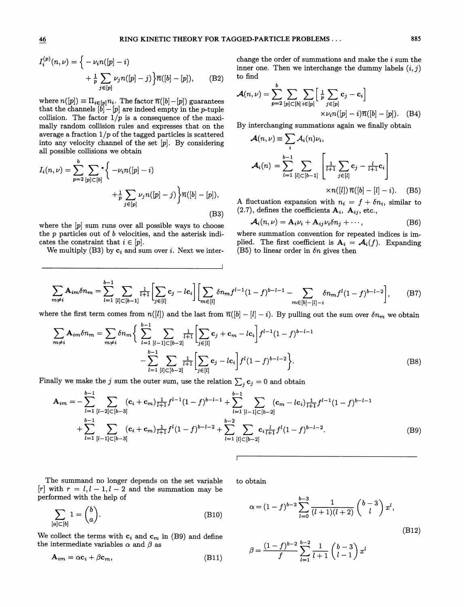$$
I_i^{(p)}(n,\nu) = \left\{ -\nu_i n(|p|-i) + \frac{1}{p} \sum_{j \in [p]} \nu_j n(|p|-j) \right\} \overline{n}([b]-[p]), \quad (B2)
$$
  
where  $n([p]) \equiv \prod_{i \in [p]} n_i$ . The factor  $\overline{n}([b]-[p])$  guarantees  
that the channels  $[b]-[p]$  are indeed empty in the *p*-tuple

collision. The factor  $1/p$  is a consequence of the maximally random collision rules and expresses that on the average a fraction  $1/p$  of the tagged particles is scattered into any velocity channel of the set [p]. By considering

and possible collisions we obtain  
\n
$$
I_i(n,\nu) = \sum_{p=2}^{b} \sum_{[p] \subset [b]} * \left\{ -\nu_i n([p] - i) + \frac{1}{p} \sum_{j \in [p]} \nu_j n([p] - j) \right\} \overline{n}([b] - [p]),
$$
\n(B3)

where the  $[p]$  sum runs over all possible ways to choose the  $p$  particles out of  $b$  velocities, and the asterisk indicates the constraint that  $i \in [p]$ .

We multiply (B3) by  $c_i$  and sum over *i*. Next we inter-

$$
\mathcal{A}(n,\nu) = \sum_{p=2}^{b} \sum_{[p] \subset [b]} \sum_{i \in [p]} \left[ \frac{1}{p} \sum_{j \in [p]} \mathbf{c}_{j} - \mathbf{c}_{i} \right] \times \nu_{i} n([p] - i) \overline{n}([b] - [p]). \quad (B4)
$$

By interchanging summations again we finally obtain

$$
\mathcal{A}(n,\nu) \equiv \sum_{i} \mathcal{A}_i(n)\nu_i,
$$
  

$$
\mathcal{A}_i(n) = \sum_{l=1}^{b-1} \sum_{[l] \subset [b-1]} \left[ \frac{1}{l+1} \sum_{j \in [l]} \mathbf{c}_j - \frac{l}{l+1} \mathbf{c}_i \right]
$$
  

$$
\times n([l]) \overline{n}([b] - [l] - i).
$$
 (B5)

A fluctuation expansion with  $n_i = f + \delta n_i$ , similar to  $(2.7)$ , defines the coefficients  $A_i$ ,  $A_{ij}$ , etc.,

$$
\mathcal{A}_i(n,\nu) = \mathbf{A}_i \nu_i + \mathbf{A}_{ij} \nu_i \delta n_j + \cdots, \tag{B6}
$$

where summation convention for repeated indices is implied. The first coefficient is  $A_i = \mathcal{A}_i(f)$ . Expanding (B5) to linear order in  $\delta n$  gives then

$$
\sum_{m \neq i} \mathbf{A}_{im} \delta n_m = \sum_{l=1}^{b-1} \sum_{[l] \subset [b-1]} \frac{1}{l+1} \Biggl[ \sum_{j \in [l]} c_j - lc_i \Biggr] \Biggl[ \sum_{m \in [l]} \delta n_m f^{l-1} (1-f)^{b-l-1} - \sum_{m \in [b]-[l]-i} \delta n_m f^l (1-f)^{b-l-2} \Biggr], \tag{B7}
$$

where the first term comes from  $n([l])$  and the last from  $\overline{n}([b] - [l] - i)$ . By pulling out the sum over  $\delta n_m$  we obtain

$$
\sum_{m \neq i} \mathbf{A}_{im} \delta n_m = \sum_{m \neq i} \delta n_m \left\{ \sum_{l=1}^{b-1} \sum_{[l-1] \subset [b-2]} \frac{1}{l+1} \left[ \sum_{j \in [l]} \mathbf{c}_j + \mathbf{c}_m - lc_i \right] f^{l-1} (1-f)^{b-l-1} - \sum_{l=1}^{b-1} \sum_{[l] \subset [b-2]} \frac{1}{l+1} \left[ \sum_{j \in [l]} \mathbf{c}_j - lc_i \right] f^l (1-f)^{b-l-2} \right\}.
$$
\n(B8)

Finally we make the j sum the outer sum, use the relation  $\sum_j \mathbf{c}_j = 0$  and obtain

$$
\mathbf{A}_{im} = -\sum_{l=1}^{b-1} \sum_{[l-2] \subset [b-3]} (\mathbf{c}_{i} + \mathbf{c}_{m}) \frac{1}{l+1} f^{l-1} (1-f)^{b-l-1} + \sum_{l=1}^{b-1} \sum_{[l-1] \subset [b-2]} (\mathbf{c}_{m} - lc_{i}) \frac{1}{l+1} f^{l-1} (1-f)^{b-l-1} + \sum_{l=1}^{b-1} \sum_{[l-1] \subset [b-3]} (\mathbf{c}_{i} + \mathbf{c}_{m}) \frac{1}{l+1} f^{l} (1-f)^{b-l-2} + \sum_{l=1}^{b-2} \sum_{[l] \subset [b-2]} \mathbf{c}_{i} \frac{l}{l+1} f^{l} (1-f)^{b-l-2}.
$$
\n(B9)

The summand no longer depends on the set variable [r] with  $r = l, l - 1, l - 2$  and the summation may be performed with the help of

$$
\sum_{[a] \subset [b]} 1 = \binom{b}{a}.\tag{B10}
$$

We collect the terms with  $c_i$  and  $c_m$  in (B9) and define the intermediate variables  $\alpha$  and  $\beta$  as

$$
\mathbf{A}_{im} = \alpha \mathbf{c}_i + \beta \mathbf{c}_m, \tag{B11}
$$

to obtain

$$
\alpha = (1 - f)^{b-2} \sum_{l=0}^{b-3} \frac{1}{(l+1)(l+2)} \binom{b-3}{l} x^l,
$$
\n(B12)

$$
\beta = \frac{(1-f)^{b-2}}{f} \sum_{l=1}^{b-2} \frac{1}{l+1} \begin{pmatrix} b-3 \\ l-1 \end{pmatrix} x^l
$$

to find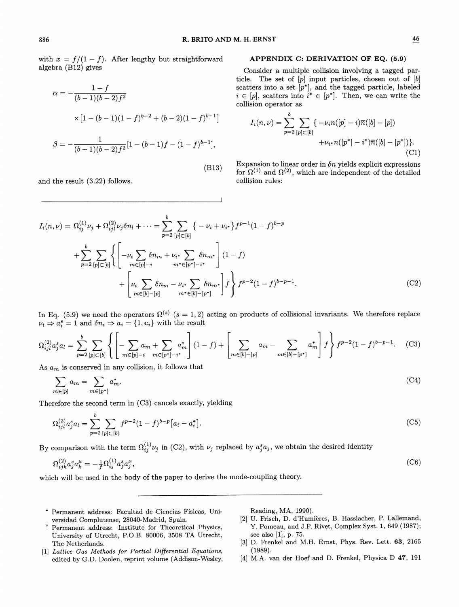with  $x = f/(1-f)$ . After lengthy but straightforward algebra (B12) gives

$$
\alpha = -\frac{1 - f}{(b - 1)(b - 2)f^2}
$$
  
 
$$
\times [1 - (b - 1)(1 - f)^{b - 2} + (b - 2)(1 - f)^{b - 1}]
$$
  

$$
\beta = -\frac{1}{(b - 1)(b - 2)f^2} [1 - (b - 1)f - (1 - f)^{b - 1}],
$$

and the result (3.22) follows.

### APPENDIX C: DERIVATION OF EQ. (5.9)

Consider a multiple collision involving a tagged particle. The set of  $[p]$  input particles, chosen out of  $[b]$ scatters into a set  $[p^*]$ , and the tagged particle, labeled  $i \in [p]$ , scatters into  $i^* \in [p^*]$ . Then, we can write the collision operator as

b

$$
I_i(n,\nu) = \sum_{p=2}^{b} \sum_{[p] \subset [b]} \{ -\nu_i n([p] - i)\overline{n}([b] - [p]) + \nu_i \cdot n([p^*] - i^*)\overline{n}([b] - [p^*]) \}.
$$
\n(C1)

Expansion to linear order in  $\delta n$  yields explicit expressions for  $\Omega^{(1)}$  and  $\Omega^{(2)}$ , which are independent of the detailed collision rules:

$$
I_i(n,\nu) = \Omega_{ij}^{(1)} \nu_j + \Omega_{ij}^{(2)} \nu_j \delta n_l + \cdots = \sum_{p=2}^b \sum_{[p] \subset [b]} \{-\nu_i + \nu_{i^*}\} f^{p-1} (1-f)^{b-p} + \sum_{p=2}^b \sum_{[p] \subset [b]} \left\{ \left[ -\nu_i \sum_{m \in [p]-i} \delta n_m + \nu_{i^*} \sum_{[p^*]-i^*} \delta n_{m^*} \right] (1-f) + \left[ \nu_i \sum_{m \in [b]-[p]} \delta n_m - \nu_{i^*} \sum_{[p^*]-[p^*]} \delta n_{m^*} \right] f \right\} f^{p-2} (1-f)^{b-p-1}.
$$
 (C2)

(B13)

In Eq. (5.9) we need the operators  $\Omega^{(s)}$  (s = 1, 2) acting on products of collisional invariants. We therefore replace  $\nu_i \Rightarrow a_i^s = 1$  and  $\delta n_i \Rightarrow a_i = \{1, c_i\}$  with the result

$$
\Omega_{ijl}^{(2)} a_j^s a_l = \sum_{p=2}^b \sum_{[p] \subset [b]} \left\{ \left[ -\sum_{m \in [p]-i} a_m + \sum_{m \in [p^*]-i^*} a_m^* \right] (1-f) + \left[ \sum_{m \in [b]-[p]} a_m - \sum_{m \in [b]-[p^*]} a_m^* \right] f \right\} f^{p-2} (1-f)^{b-p-1} . \tag{C3}
$$

As  $a_m$  is conserved in any collision, it follows that

$$
\sum_{m \in [p]} a_m = \sum_{m \in [p^*]} a_m^*.
$$
\n<sup>(C4)</sup>

Therefore the second term in (C3) cancels exactly, yielding

$$
\Omega_{ijl}^{(2)} a_j^s a_l = \sum_{p=2}^b \sum_{[p] \subset [b]} f^{p-2} (1-f)^{b-p} \left[ a_i - a_i^* \right]. \tag{C5}
$$

By comparison with the term  $\Omega_{ij}^{(1)}\nu_j$  in (C2), with  $\nu_j$  replaced by  $a_j^s a_j$ , we obtain the desired identity

$$
\Omega_{ijk}^{(2)} a_j^s a_k^{\mu} = -\frac{1}{f} \Omega_{ij}^{(1)} a_j^s a_j^{\mu},\tag{C6}
$$

which will be used in the body of the paper to derive the mode-coupling theory.

- Permanent address: Facultad de Ciencias Fisicas, Universidad Complutense, 28040-Madrid, Spain.
- t Permanent address: Institute for Theoretical Physics, University of Utrecht, P.O.B. 80006, 3508 TA Utrecht, The Netherlands.
- [1] Lattice Gas Methods for Partial Differential Equations, edited by G.D. Doolen, reprint volume (Addison-Wesley,

Reading, MA, 1990).

- [2] U. Frisch, D. d'Humières, B. Hasslacher, P. Lallemand, Y. Pomeau, and J.P. Rivet, Complex Syst. 1, 649 (1987); see also [1], p. 75.
- [3] D. Frenkel and M.H. Ernst, Phys. Rev. Lett. 63, 2165 (1989).
- [4] M.A. van der Hoef and D. Frenkel, Physica D 47, 191